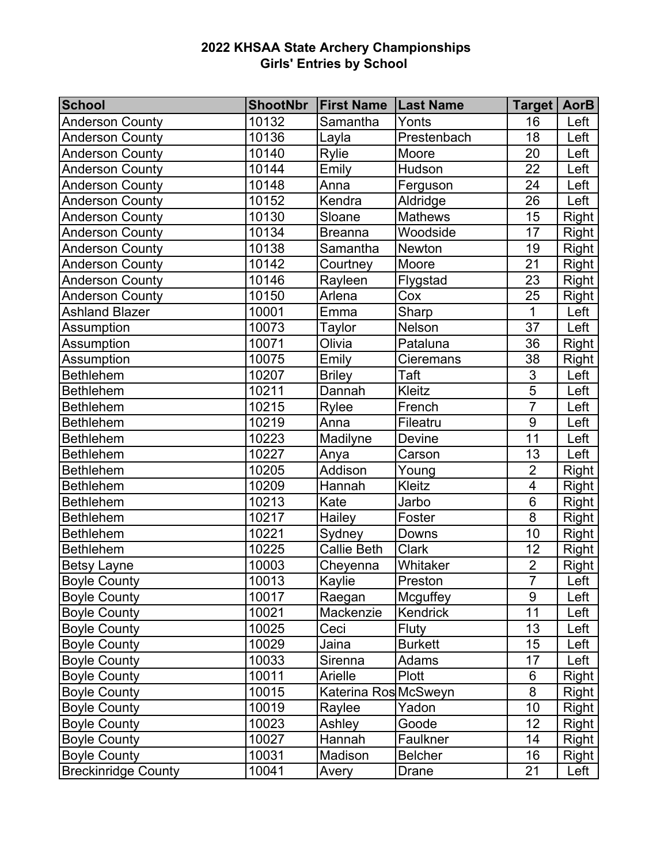| <b>School</b>              | <b>ShootNbr</b> | <b>First Name   Last Name</b> |                | Target   AorB   |              |
|----------------------------|-----------------|-------------------------------|----------------|-----------------|--------------|
| <b>Anderson County</b>     | 10132           | Samantha                      | Yonts          | 16              | Left         |
| <b>Anderson County</b>     | 10136           | Layla                         | Prestenbach    | 18              | Left         |
| <b>Anderson County</b>     | 10140           | Rylie                         | Moore          | 20              | Left         |
| <b>Anderson County</b>     | 10144           | Emily                         | Hudson         | 22              | Left         |
| <b>Anderson County</b>     | 10148           | Anna                          | Ferguson       | 24              | Left         |
| <b>Anderson County</b>     | 10152           | Kendra                        | Aldridge       | 26              | Left         |
| <b>Anderson County</b>     | 10130           | Sloane                        | <b>Mathews</b> | 15              | Right        |
| <b>Anderson County</b>     | 10134           | <b>Breanna</b>                | Woodside       | 17              | <b>Right</b> |
| <b>Anderson County</b>     | 10138           | Samantha                      | <b>Newton</b>  | 19              | Right        |
| <b>Anderson County</b>     | 10142           | Courtney                      | Moore          | 21              | <b>Right</b> |
| <b>Anderson County</b>     | 10146           | Rayleen                       | Flygstad       | 23              | Right        |
| <b>Anderson County</b>     | 10150           | Arlena                        | Cox            | 25              | <b>Right</b> |
| <b>Ashland Blazer</b>      | 10001           | Emma                          | Sharp          | $\overline{1}$  | Left         |
| Assumption                 | 10073           | Taylor                        | Nelson         | 37              | Left         |
| <b>Assumption</b>          | 10071           | Olivia                        | Pataluna       | 36              | <b>Right</b> |
| Assumption                 | 10075           | Emily                         | Cieremans      | 38              | <b>Right</b> |
| <b>Bethlehem</b>           | 10207           | <b>Briley</b>                 | Taft           | $\overline{3}$  | Left         |
| <b>Bethlehem</b>           | 10211           | Dannah                        | Kleitz         | $\overline{5}$  | Left         |
| <b>Bethlehem</b>           | 10215           | Rylee                         | French         | $\overline{7}$  | Left         |
| <b>Bethlehem</b>           | 10219           | Anna                          | Fileatru       | 9               | Left         |
| <b>Bethlehem</b>           | 10223           | Madilyne                      | Devine         | $\overline{11}$ | Left         |
| <b>Bethlehem</b>           | 10227           | Anya                          | Carson         | 13              | Left         |
| <b>Bethlehem</b>           | 10205           | Addison                       | Young          | $\overline{2}$  | Right        |
| <b>Bethlehem</b>           | 10209           | Hannah                        | Kleitz         | $\overline{4}$  | Right        |
| <b>Bethlehem</b>           | 10213           | Kate                          | Jarbo          | $\overline{6}$  | <b>Right</b> |
| <b>Bethlehem</b>           | 10217           | Hailey                        | Foster         | $\overline{8}$  | <b>Right</b> |
| <b>Bethlehem</b>           | 10221           | Sydney                        | Downs          | 10              | <b>Right</b> |
| <b>Bethlehem</b>           | 10225           | Callie Beth                   | <b>Clark</b>   | 12              | <b>Right</b> |
| Betsy Layne                | 10003           | Cheyenna                      | Whitaker       | $\overline{2}$  | <b>Right</b> |
| <b>Boyle County</b>        | 10013           | Kaylie                        | Preston        | $\overline{7}$  | Left         |
| <b>Boyle County</b>        | 10017           | Raegan                        | Mcguffey       | 9               | Left         |
| <b>Boyle County</b>        | 10021           | Mackenzie                     | Kendrick       | 11              | Left         |
| <b>Boyle County</b>        | 10025           | Ceci                          | Fluty          | 13              | Left         |
| <b>Boyle County</b>        | 10029           | Jaina                         | <b>Burkett</b> | 15              | Left         |
| <b>Boyle County</b>        | 10033           | Sirenna                       | Adams          | 17              | Left         |
| <b>Boyle County</b>        | 10011           | Arielle                       | Plott          | 6               | Right        |
| <b>Boyle County</b>        | 10015           | Katerina Ros McSweyn          |                | 8               | Right        |
| <b>Boyle County</b>        | 10019           | Raylee                        | Yadon          | 10              | Right        |
| <b>Boyle County</b>        | 10023           | Ashley                        | Goode          | 12              | <b>Right</b> |
| <b>Boyle County</b>        | 10027           | Hannah                        | Faulkner       | 14              | Right        |
| <b>Boyle County</b>        | 10031           | Madison                       | <b>Belcher</b> | 16              | <b>Right</b> |
| <b>Breckinridge County</b> | 10041           | Avery                         | Drane          | 21              | Left         |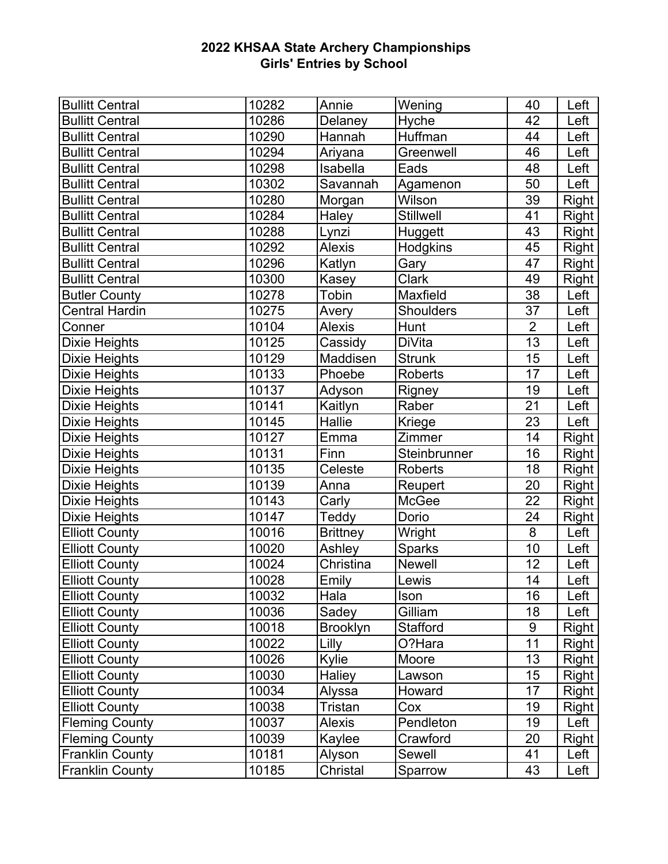| <b>Bullitt Central</b> | 10282 | Annie           | Wening           | 40             | Left         |
|------------------------|-------|-----------------|------------------|----------------|--------------|
| <b>Bullitt Central</b> | 10286 | Delaney         | Hyche            | 42             | Left         |
| <b>Bullitt Central</b> | 10290 | Hannah          | Huffman          | 44             | Left         |
| <b>Bullitt Central</b> | 10294 | Ariyana         | Greenwell        | 46             | Left         |
| <b>Bullitt Central</b> | 10298 | Isabella        | Eads             | 48             | Left         |
| <b>Bullitt Central</b> | 10302 | Savannah        | Agamenon         | 50             | Left         |
| <b>Bullitt Central</b> | 10280 | Morgan          | Wilson           | 39             | Right        |
| <b>Bullitt Central</b> | 10284 | Haley           | Stillwell        | 41             | Right        |
| <b>Bullitt Central</b> | 10288 | Lynzi           | Huggett          | 43             | Right        |
| <b>Bullitt Central</b> | 10292 | Alexis          | <b>Hodgkins</b>  | 45             | Right        |
| <b>Bullitt Central</b> | 10296 | Katlyn          | Gary             | 47             | Right        |
| <b>Bullitt Central</b> | 10300 | Kasey           | <b>Clark</b>     | 49             | <b>Right</b> |
| <b>Butler County</b>   | 10278 | Tobin           | Maxfield         | 38             | Left         |
| <b>Central Hardin</b>  | 10275 | Avery           | <b>Shoulders</b> | 37             | Left         |
| Conner                 | 10104 | <b>Alexis</b>   | Hunt             | $\overline{2}$ | Left         |
| <b>Dixie Heights</b>   | 10125 | Cassidy         | DiVita           | 13             | Left         |
| Dixie Heights          | 10129 | Maddisen        | <b>Strunk</b>    | 15             | Left         |
| <b>Dixie Heights</b>   | 10133 | Phoebe          | <b>Roberts</b>   | 17             | Left         |
| <b>Dixie Heights</b>   | 10137 | Adyson          | Rigney           | 19             | Left         |
| <b>Dixie Heights</b>   | 10141 | Kaitlyn         | Raber            | 21             | Left         |
| <b>Dixie Heights</b>   | 10145 | Hallie          | Kriege           | 23             | Left         |
| Dixie Heights          | 10127 | Emma            | Zimmer           | 14             | Right        |
| Dixie Heights          | 10131 | Finn            | Steinbrunner     | 16             | Right        |
| Dixie Heights          | 10135 | Celeste         | Roberts          | 18             | Right        |
| <b>Dixie Heights</b>   | 10139 | Anna            | Reupert          | 20             | <b>Right</b> |
| <b>Dixie Heights</b>   | 10143 | Carly           | McGee            | 22             | <b>Right</b> |
| <b>Dixie Heights</b>   | 10147 | Teddy           | Dorio            | 24             | <b>Right</b> |
| <b>Elliott County</b>  | 10016 | <b>Brittney</b> | Wright           | 8              | Left         |
| <b>Elliott County</b>  | 10020 | Ashley          | Sparks           | 10             | Left         |
| <b>Elliott County</b>  | 10024 | Christina       | <b>Newell</b>    | 12             | Left         |
| <b>Elliott County</b>  | 10028 | Emily           | Lewis            | 14             | Left         |
| <b>Elliott County</b>  | 10032 | Hala            | Ison             | 16             | Left         |
| <b>Elliott County</b>  | 10036 | Sadey           | Gilliam          | 18             | Left         |
| <b>Elliott County</b>  | 10018 | <b>Brooklyn</b> | <b>Stafford</b>  | 9              | Right        |
| <b>Elliott County</b>  | 10022 | Lilly           | O?Hara           | 11             | Right        |
| <b>Elliott County</b>  | 10026 | Kylie           | Moore            | 13             | Right        |
| <b>Elliott County</b>  | 10030 | Haliey          | Lawson           | 15             | <b>Right</b> |
| <b>Elliott County</b>  | 10034 | Alyssa          | Howard           | 17             | Right        |
| <b>Elliott County</b>  | 10038 | Tristan         | Cox              | 19             | Right        |
| <b>Fleming County</b>  | 10037 | <b>Alexis</b>   | Pendleton        | 19             | Left         |
| <b>Fleming County</b>  | 10039 | Kaylee          | Crawford         | 20             | Right        |
| <b>Franklin County</b> | 10181 | Alyson          | Sewell           | 41             | Left         |
| <b>Franklin County</b> | 10185 | Christal        | Sparrow          | 43             | Left         |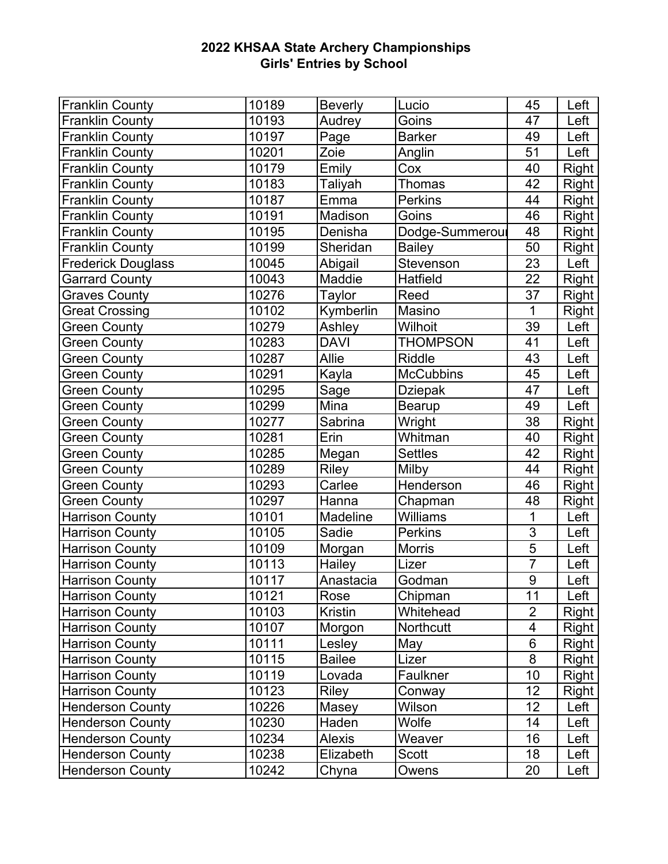| <b>Franklin County</b>    | 10189 | <b>Beverly</b> | Lucio            | 45                      | Left         |
|---------------------------|-------|----------------|------------------|-------------------------|--------------|
| <b>Franklin County</b>    | 10193 | Audrey         | Goins            | 47                      | Left         |
| <b>Franklin County</b>    | 10197 | Page           | <b>Barker</b>    | 49                      | Left         |
| <b>Franklin County</b>    | 10201 | Zoie           | Anglin           | 51                      | Left         |
| <b>Franklin County</b>    | 10179 | Emily          | Cox              | 40                      | <b>Right</b> |
| <b>Franklin County</b>    | 10183 | Taliyah        | <b>Thomas</b>    | 42                      | Right        |
| <b>Franklin County</b>    | 10187 | Emma           | <b>Perkins</b>   | 44                      | Right        |
| <b>Franklin County</b>    | 10191 | Madison        | Goins            | 46                      | Right        |
| <b>Franklin County</b>    | 10195 | Denisha        | Dodge-Summeroul  | 48                      | Right        |
| <b>Franklin County</b>    | 10199 | Sheridan       | <b>Bailey</b>    | 50                      | Right        |
| <b>Frederick Douglass</b> | 10045 | Abigail        | Stevenson        | 23                      | Left         |
| <b>Garrard County</b>     | 10043 | Maddie         | Hatfield         | 22                      | <b>Right</b> |
| <b>Graves County</b>      | 10276 | Taylor         | Reed             | 37                      | Right        |
| <b>Great Crossing</b>     | 10102 | Kymberlin      | Masino           | 1                       | <b>Right</b> |
| <b>Green County</b>       | 10279 | Ashley         | Wilhoit          | 39                      | Left         |
| <b>Green County</b>       | 10283 | <b>DAVI</b>    | <b>THOMPSON</b>  | 41                      | Left         |
| <b>Green County</b>       | 10287 | Allie          | <b>Riddle</b>    | 43                      | Left         |
| <b>Green County</b>       | 10291 | Kayla          | <b>McCubbins</b> | 45                      | Left         |
| <b>Green County</b>       | 10295 | Sage           | <b>Dziepak</b>   | 47                      | Left         |
| <b>Green County</b>       | 10299 | Mina           | Bearup           | 49                      | Left         |
| <b>Green County</b>       | 10277 | Sabrina        | Wright           | 38                      | <b>Right</b> |
| <b>Green County</b>       | 10281 | Erin           | Whitman          | 40                      | <b>Right</b> |
| <b>Green County</b>       | 10285 | Megan          | <b>Settles</b>   | 42                      | <b>Right</b> |
| <b>Green County</b>       | 10289 | Riley          | Milby            | 44                      | <b>Right</b> |
| <b>Green County</b>       | 10293 | Carlee         | Henderson        | 46                      | Right        |
| <b>Green County</b>       | 10297 | Hanna          | Chapman          | 48                      | <b>Right</b> |
| <b>Harrison County</b>    | 10101 | Madeline       | Williams         | 1                       | Left         |
| <b>Harrison County</b>    | 10105 | Sadie          | <b>Perkins</b>   | 3                       | Left         |
| <b>Harrison County</b>    | 10109 | Morgan         | <b>Morris</b>    | $\overline{5}$          | Left         |
| <b>Harrison County</b>    | 10113 | Hailey         | Lizer            | $\overline{7}$          | Left         |
| <b>Harrison County</b>    | 10117 | Anastacia      | Godman           | 9                       | Left         |
| <b>Harrison County</b>    | 10121 | Rose           | Chipman          | 11                      | Left         |
| <b>Harrison County</b>    | 10103 | Kristin        | Whitehead        | $\overline{2}$          | <b>Right</b> |
| <b>Harrison County</b>    | 10107 | Morgon         | Northcutt        | $\overline{\mathbf{4}}$ | Right        |
| <b>Harrison County</b>    | 10111 | Lesley         | May              | 6                       | Right        |
| <b>Harrison County</b>    | 10115 | <b>Bailee</b>  | Lizer            | $\overline{8}$          | Right        |
| <b>Harrison County</b>    | 10119 | Lovada         | Faulkner         | 10                      | <b>Right</b> |
| <b>Harrison County</b>    | 10123 | <b>Riley</b>   | Conway           | 12                      | <b>Right</b> |
| <b>Henderson County</b>   | 10226 | Masey          | Wilson           | 12                      | Left         |
| <b>Henderson County</b>   | 10230 | Haden          | Wolfe            | 14                      | Left         |
| <b>Henderson County</b>   | 10234 | <b>Alexis</b>  | Weaver           | 16                      | Left         |
| <b>Henderson County</b>   | 10238 | Elizabeth      | Scott            | 18                      | Left         |
| <b>Henderson County</b>   | 10242 | Chyna          | Owens            | 20                      | Left         |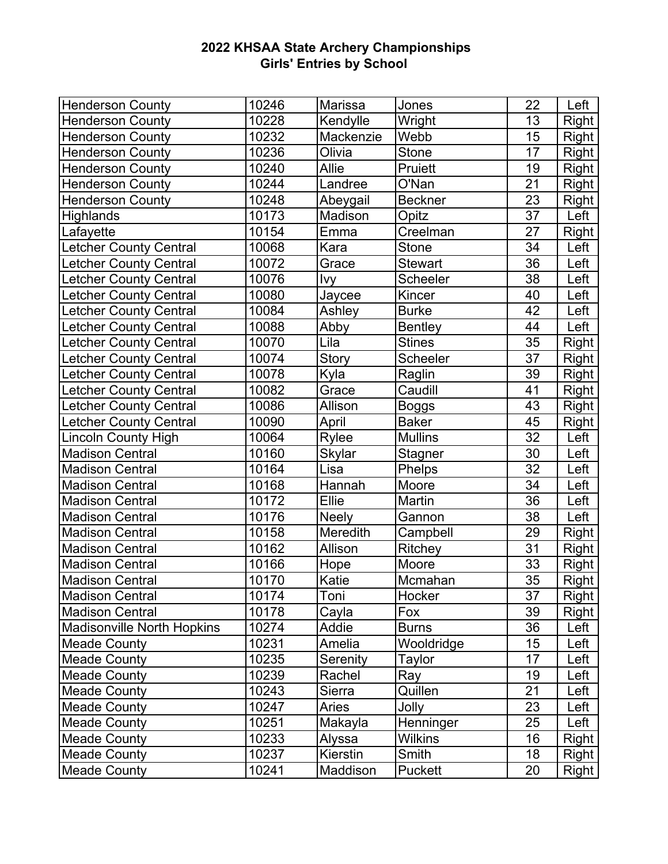| <b>Henderson County</b>           | 10246 | <b>Marissa</b> | Jones          | 22              | Left         |
|-----------------------------------|-------|----------------|----------------|-----------------|--------------|
| <b>Henderson County</b>           | 10228 | Kendylle       | Wright         | 13              | <b>Right</b> |
| <b>Henderson County</b>           | 10232 | Mackenzie      | Webb           | 15              | Right        |
| <b>Henderson County</b>           | 10236 | Olivia         | <b>Stone</b>   | 17              | <b>Right</b> |
| <b>Henderson County</b>           | 10240 | Allie          | Pruiett        | 19              | <b>Right</b> |
| <b>Henderson County</b>           | 10244 | Landree        | O'Nan          | 21              | <b>Right</b> |
| <b>Henderson County</b>           | 10248 | Abeygail       | <b>Beckner</b> | 23              | Right        |
| Highlands                         | 10173 | Madison        | Opitz          | 37              | Left         |
| Lafayette                         | 10154 | Emma           | Creelman       | 27              | Right        |
| <b>Letcher County Central</b>     | 10068 | Kara           | <b>Stone</b>   | 34              | Left         |
| <b>Letcher County Central</b>     | 10072 | Grace          | <b>Stewart</b> | 36              | Left         |
| <b>Letcher County Central</b>     | 10076 | <u>lvy</u>     | Scheeler       | 38              | Left         |
| <b>Letcher County Central</b>     | 10080 | Jaycee         | Kincer         | 40              | Left         |
| <b>Letcher County Central</b>     | 10084 | Ashley         | <b>Burke</b>   | 42              | Left         |
| <b>Letcher County Central</b>     | 10088 | Abby           | <b>Bentley</b> | 44              | Left         |
| <b>Letcher County Central</b>     | 10070 | Lila           | <b>Stines</b>  | 35              | Right        |
| <b>Letcher County Central</b>     | 10074 | Story          | Scheeler       | 37              | Right        |
| <b>Letcher County Central</b>     | 10078 | Kyla           | Raglin         | 39              | <b>Right</b> |
| <b>Letcher County Central</b>     | 10082 | Grace          | Caudill        | 41              | <b>Right</b> |
| <b>Letcher County Central</b>     | 10086 | Allison        | <b>Boggs</b>   | 43              | <b>Right</b> |
| Letcher County Central            | 10090 | April          | <b>Baker</b>   | 45              | <b>Right</b> |
| <b>Lincoln County High</b>        | 10064 | Rylee          | Mullins        | 32              | Left         |
| <b>Madison Central</b>            | 10160 | <b>Skylar</b>  | Stagner        | 30              | Left         |
| <b>Madison Central</b>            | 10164 | Lisa           | Phelps         | 32              | Left         |
| <b>Madison Central</b>            | 10168 | Hannah         | Moore          | 34              | Left         |
| <b>Madison Central</b>            | 10172 | Ellie          | Martin         | 36              | Left         |
| <b>Madison Central</b>            | 10176 | <b>Neely</b>   | Gannon         | 38              | Left         |
| <b>Madison Central</b>            | 10158 | Meredith       | Campbell       | 29              | Right        |
| <b>Madison Central</b>            | 10162 | Allison        | Ritchey        | $\overline{31}$ | Right        |
| <b>Madison Central</b>            | 10166 | Hope           | Moore          | 33              | <b>Right</b> |
| <b>Madison Central</b>            | 10170 | Katie          | Mcmahan        | 35              | <b>Right</b> |
| <b>Madison Central</b>            | 10174 | Toni           | Hocker         | 37              | Right        |
| <b>Madison Central</b>            | 10178 | Cayla          | Fox            | 39              | Right        |
| <b>Madisonville North Hopkins</b> | 10274 | Addie          | <b>Burns</b>   | 36              | Left         |
| <b>Meade County</b>               | 10231 | Amelia         | Wooldridge     | 15              | Left         |
| <b>Meade County</b>               | 10235 | Serenity       | Taylor         | 17              | Left         |
| <b>Meade County</b>               | 10239 | Rachel         | Ray            | 19              | Left         |
| <b>Meade County</b>               | 10243 | Sierra         | Quillen        | 21              | Left         |
| <b>Meade County</b>               | 10247 | Aries          | Jolly          | 23              | Left         |
| <b>Meade County</b>               | 10251 | Makayla        | Henninger      | 25              | Left         |
| <b>Meade County</b>               | 10233 | Alyssa         | Wilkins        | 16              | Right        |
| <b>Meade County</b>               | 10237 | Kierstin       | Smith          | 18              | <b>Right</b> |
| <b>Meade County</b>               | 10241 | Maddison       | Puckett        | 20              | <b>Right</b> |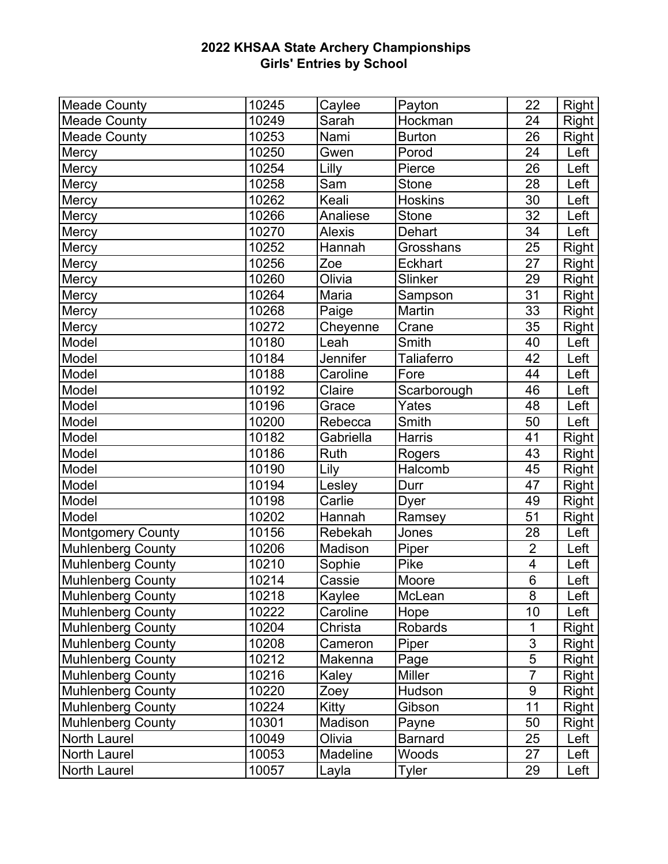| <b>Meade County</b>      | 10245 | Caylee        | Payton         | 22             | Right        |
|--------------------------|-------|---------------|----------------|----------------|--------------|
| <b>Meade County</b>      | 10249 | Sarah         | Hockman        | 24             | Right        |
| <b>Meade County</b>      | 10253 | Nami          | <b>Burton</b>  | 26             | Right        |
| Mercy                    | 10250 | Gwen          | Porod          | 24             | Left         |
| Mercy                    | 10254 | Lilly         | Pierce         | 26             | Left         |
| Mercy                    | 10258 | Sam           | <b>Stone</b>   | 28             | Left         |
| Mercy                    | 10262 | Keali         | <b>Hoskins</b> | 30             | Left         |
| Mercy                    | 10266 | Analiese      | <b>Stone</b>   | 32             | Left         |
| Mercy                    | 10270 | <b>Alexis</b> | Dehart         | 34             | Left         |
| Mercy                    | 10252 | Hannah        | Grosshans      | 25             | Right        |
| Mercy                    | 10256 | Zoe           | <b>Eckhart</b> | 27             | <b>Right</b> |
| Mercy                    | 10260 | Olivia        | Slinker        | 29             | <b>Right</b> |
| Mercy                    | 10264 | Maria         | Sampson        | 31             | <b>Right</b> |
| Mercy                    | 10268 | Paige         | Martin         | 33             | Right        |
| Mercy                    | 10272 | Cheyenne      | Crane          | 35             | Right        |
| Model                    | 10180 | Leah          | Smith          | 40             | Left         |
| Model                    | 10184 | Jennifer      | Taliaferro     | 42             | Left         |
| Model                    | 10188 | Caroline      | Fore           | 44             | Left         |
| Model                    | 10192 | Claire        | Scarborough    | 46             | Left         |
| Model                    | 10196 | Grace         | Yates          | 48             | Left         |
| Model                    | 10200 | Rebecca       | Smith          | 50             | Left         |
| Model                    | 10182 | Gabriella     | Harris         | 41             | Right        |
| Model                    | 10186 | Ruth          | Rogers         | 43             | <b>Right</b> |
| Model                    | 10190 | Lily          | Halcomb        | 45             | <b>Right</b> |
| Model                    | 10194 | Lesley        | Durr           | 47             | Right        |
| Model                    | 10198 | Carlie        | Dyer           | 49             | Right        |
| Model                    | 10202 | Hannah        | Ramsey         | 51             | <b>Right</b> |
| <b>Montgomery County</b> | 10156 | Rebekah       | Jones          | 28             | Left         |
| <b>Muhlenberg County</b> | 10206 | Madison       | Piper          | $\overline{2}$ | Left         |
| <b>Muhlenberg County</b> | 10210 | Sophie        | Pike           | 4              | Left         |
| Muhlenberg County        | 10214 | Cassie        | Moore          | 6              | Left         |
| Muhlenberg County        | 10218 | Kaylee        | McLean         | 8              | Left         |
| <b>Muhlenberg County</b> | 10222 | Caroline      | Hope           | 10             | Left         |
| <b>Muhlenberg County</b> | 10204 | Christa       | Robards        | 1              | Right        |
| <b>Muhlenberg County</b> | 10208 | Cameron       | Piper          | 3              | Right        |
| <b>Muhlenberg County</b> | 10212 | Makenna       | Page           | $\overline{5}$ | Right        |
| Muhlenberg County        | 10216 | Kaley         | <b>Miller</b>  | $\overline{7}$ | Right        |
| <b>Muhlenberg County</b> | 10220 | Zoey          | Hudson         | 9              | Right        |
| <b>Muhlenberg County</b> | 10224 | Kitty         | Gibson         | 11             | Right        |
| <b>Muhlenberg County</b> | 10301 | Madison       | Payne          | 50             | Right        |
| North Laurel             | 10049 | Olivia        | <b>Barnard</b> | 25             | Left         |
| North Laurel             | 10053 | Madeline      | Woods          | 27             | Left         |
| <b>North Laurel</b>      | 10057 | Layla         | Tyler          | 29             | Left         |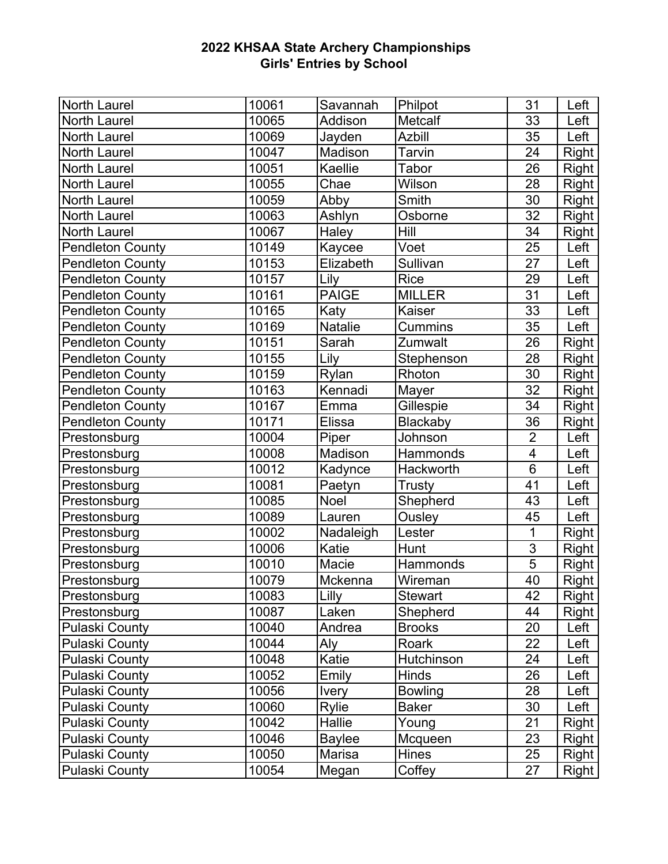| North Laurel            | 10061 | Savannah       | Philpot         | 31                      | Left         |
|-------------------------|-------|----------------|-----------------|-------------------------|--------------|
| <b>North Laurel</b>     | 10065 | Addison        | Metcalf         | 33                      | Left         |
| <b>North Laurel</b>     | 10069 | Jayden         | <b>Azbill</b>   | 35                      | Left         |
| <b>North Laurel</b>     | 10047 | Madison        | Tarvin          | 24                      | <b>Right</b> |
| <b>North Laurel</b>     | 10051 | Kaellie        | Tabor           | 26                      | <b>Right</b> |
| <b>North Laurel</b>     | 10055 | Chae           | Wilson          | 28                      | <b>Right</b> |
| <b>North Laurel</b>     | 10059 | Abby           | Smith           | 30                      | Right        |
| <b>North Laurel</b>     | 10063 | Ashlyn         | Osborne         | 32                      | Right        |
| <b>North Laurel</b>     | 10067 | Haley          | Hill            | 34                      | <b>Right</b> |
| <b>Pendleton County</b> | 10149 | Kaycee         | Voet            | 25                      | Left         |
| <b>Pendleton County</b> | 10153 | Elizabeth      | Sullivan        | 27                      | Left         |
| <b>Pendleton County</b> | 10157 | Lily           | <b>Rice</b>     | 29                      | Left         |
| <b>Pendleton County</b> | 10161 | <b>PAIGE</b>   | <b>MILLER</b>   | 31                      | Left         |
| <b>Pendleton County</b> | 10165 | Katy           | Kaiser          | 33                      | Left         |
| <b>Pendleton County</b> | 10169 | <b>Natalie</b> | <b>Cummins</b>  | 35                      | Left         |
| <b>Pendleton County</b> | 10151 | Sarah          | Zumwalt         | 26                      | <b>Right</b> |
| <b>Pendleton County</b> | 10155 | Lily           | Stephenson      | 28                      | <b>Right</b> |
| <b>Pendleton County</b> | 10159 | Rylan          | Rhoton          | 30                      | Right        |
| Pendleton County        | 10163 | Kennadi        | Mayer           | 32                      | <b>Right</b> |
| <b>Pendleton County</b> | 10167 | Emma           | Gillespie       | 34                      | <b>Right</b> |
| <b>Pendleton County</b> | 10171 | Elissa         | <b>Blackaby</b> | 36                      | <b>Right</b> |
| Prestonsburg            | 10004 | Piper          | Johnson         | $\overline{2}$          | Left         |
| Prestonsburg            | 10008 | Madison        | Hammonds        | $\overline{\mathbf{4}}$ | Left         |
| Prestonsburg            | 10012 | Kadynce        | Hackworth       | $6\phantom{1}$          | Left         |
| Prestonsburg            | 10081 | Paetyn         | <b>Trusty</b>   | 41                      | Left         |
| Prestonsburg            | 10085 | Noel           | Shepherd        | 43                      | Left         |
| Prestonsburg            | 10089 | Lauren         | Ousley          | 45                      | Left         |
| Prestonsburg            | 10002 | Nadaleigh      | Lester          | $\mathbf 1$             | <b>Right</b> |
| Prestonsburg            | 10006 | Katie          | Hunt            | $\overline{3}$          | <b>Right</b> |
| Prestonsburg            | 10010 | Macie          | Hammonds        | $\overline{5}$          | <b>Right</b> |
| Prestonsburg            | 10079 | Mckenna        | Wireman         | 40                      | <b>Right</b> |
| Prestonsburg            | 10083 | Lilly          | <b>Stewart</b>  | 42                      | Right        |
| Prestonsburg            | 10087 | Laken          | Shepherd        | 44                      | Right        |
| <b>Pulaski County</b>   | 10040 | Andrea         | <b>Brooks</b>   | 20                      | Left         |
| <b>Pulaski County</b>   | 10044 | Aly            | Roark           | 22                      | Left         |
| <b>Pulaski County</b>   | 10048 | Katie          | Hutchinson      | 24                      | Left         |
| <b>Pulaski County</b>   | 10052 | Emily          | Hinds           | 26                      | Left         |
| <b>Pulaski County</b>   | 10056 | <b>Ivery</b>   | <b>Bowling</b>  | 28                      | Left         |
| <b>Pulaski County</b>   | 10060 | Rylie          | <b>Baker</b>    | 30                      | Left         |
| <b>Pulaski County</b>   | 10042 | Hallie         | Young           | 21                      | Right        |
| <b>Pulaski County</b>   | 10046 | <b>Baylee</b>  | Mcqueen         | 23                      | Right        |
| <b>Pulaski County</b>   | 10050 | Marisa         | <b>Hines</b>    | 25                      | <b>Right</b> |
| <b>Pulaski County</b>   | 10054 | Megan          | Coffey          | 27                      | <b>Right</b> |